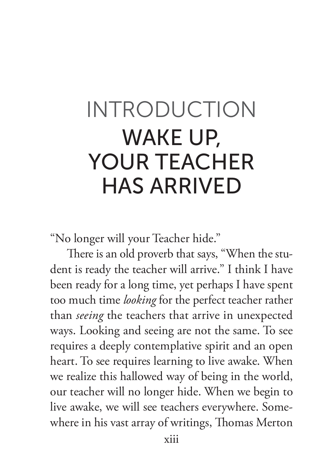## INTRODUCTION WAKE UP, YOUR TEACHER HAS ARRIVED

"No longer will your Teacher hide."

There is an old proverb that says, "When the student is ready the teacher will arrive." I think I have been ready for a long time, yet perhaps I have spent too much time *looking* for the perfect teacher rather than *seeing* the teachers that arrive in unexpected ways. Looking and seeing are not the same. To see requires a deeply contemplative spirit and an open heart. To see requires learning to live awake. When we realize this hallowed way of being in the world, our teacher will no longer hide. When we begin to live awake, we will see teachers everywhere. Somewhere in his vast array of writings, Thomas Merton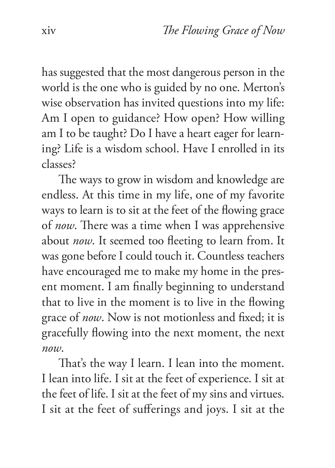has suggested that the most dangerous person in the world is the one who is guided by no one. Merton's wise observation has invited questions into my life: Am I open to guidance? How open? How willing am I to be taught? Do I have a heart eager for learning? Life is a wisdom school. Have I enrolled in its classes?

The ways to grow in wisdom and knowledge are endless. At this time in my life, one of my favorite ways to learn is to sit at the feet of the flowing grace of *now*. There was a time when I was apprehensive about *now*. It seemed too fleeting to learn from. It was gone before I could touch it. Countless teachers have encouraged me to make my home in the present moment. I am finally beginning to understand that to live in the moment is to live in the flowing grace of *now*. Now is not motionless and fixed; it is gracefully flowing into the next moment, the next *now*.

That's the way I learn. I lean into the moment. I lean into life. I sit at the feet of experience. I sit at the feet of life. I sit at the feet of my sins and virtues. I sit at the feet of sufferings and joys. I sit at the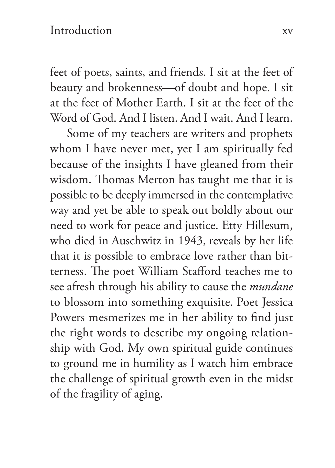feet of poets, saints, and friends. I sit at the feet of beauty and brokenness—of doubt and hope. I sit at the feet of Mother Earth. I sit at the feet of the Word of God. And I listen. And I wait. And I learn.

Some of my teachers are writers and prophets whom I have never met, yet I am spiritually fed because of the insights I have gleaned from their wisdom. Thomas Merton has taught me that it is possible to be deeply immersed in the contemplative way and yet be able to speak out boldly about our need to work for peace and justice. Etty Hillesum, who died in Auschwitz in 1943, reveals by her life that it is possible to embrace love rather than bitterness. The poet William Stafford teaches me to see afresh through his ability to cause the *mundane*  to blossom into something exquisite. Poet Jessica Powers mesmerizes me in her ability to find just the right words to describe my ongoing relationship with God. My own spiritual guide continues to ground me in humility as I watch him embrace the challenge of spiritual growth even in the midst of the fragility of aging.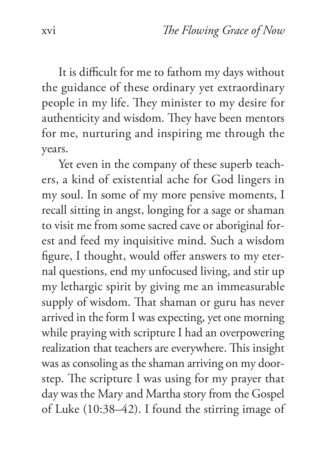It is difficult for me to fathom my days without the guidance of these ordinary yet extraordinary people in my life. They minister to my desire for authenticity and wisdom. They have been mentors for me, nurturing and inspiring me through the years.

Yet even in the company of these superb teachers, a kind of existential ache for God lingers in my soul. In some of my more pensive moments, I recall sitting in angst, longing for a sage or shaman to visit me from some sacred cave or aboriginal forest and feed my inquisitive mind. Such a wisdom figure, I thought, would offer answers to my eternal questions, end my unfocused living, and stir up my lethargic spirit by giving me an immeasurable supply of wisdom. That shaman or guru has never arrived in the form I was expecting, yet one morning while praying with scripture I had an overpowering realization that teachers are everywhere. This insight was as consoling as the shaman arriving on my doorstep. The scripture I was using for my prayer that day was the Mary and Martha story from the Gospel of Luke (10:38–42). I found the stirring image of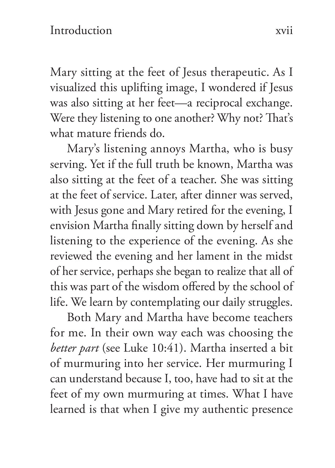Mary sitting at the feet of Jesus therapeutic. As I visualized this uplifting image, I wondered if Jesus was also sitting at her feet—a reciprocal exchange. Were they listening to one another? Why not? That's what mature friends do.

Mary's listening annoys Martha, who is busy serving. Yet if the full truth be known, Martha was also sitting at the feet of a teacher. She was sitting at the feet of service. Later, after dinner was served, with Jesus gone and Mary retired for the evening, I envision Martha finally sitting down by herself and listening to the experience of the evening. As she reviewed the evening and her lament in the midst of her service, perhaps she began to realize that all of this was part of the wisdom offered by the school of life. We learn by contemplating our daily struggles.

Both Mary and Martha have become teachers for me. In their own way each was choosing the *better part* (see Luke 10:41). Martha inserted a bit of murmuring into her service. Her murmuring I can understand because I, too, have had to sit at the feet of my own murmuring at times. What I have learned is that when I give my authentic presence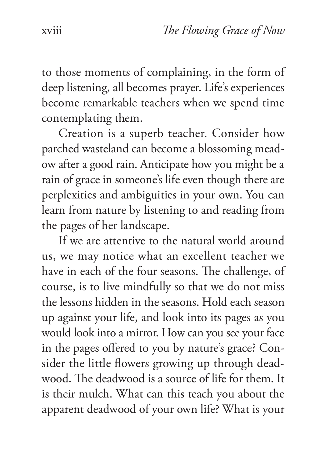to those moments of complaining, in the form of deep listening, all becomes prayer. Life's experiences become remarkable teachers when we spend time contemplating them.

Creation is a superb teacher. Consider how parched wasteland can become a blossoming meadow after a good rain. Anticipate how you might be a rain of grace in someone's life even though there are perplexities and ambiguities in your own. You can learn from nature by listening to and reading from the pages of her landscape.

If we are attentive to the natural world around us, we may notice what an excellent teacher we have in each of the four seasons. The challenge, of course, is to live mindfully so that we do not miss the lessons hidden in the seasons. Hold each season up against your life, and look into its pages as you would look into a mirror. How can you see your face in the pages offered to you by nature's grace? Consider the little flowers growing up through deadwood. The deadwood is a source of life for them. It is their mulch. What can this teach you about the apparent deadwood of your own life? What is your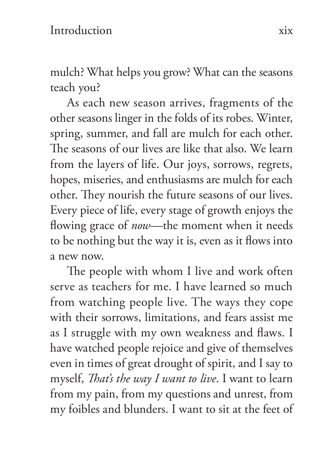mulch? What helps you grow? What can the seasons teach you?

As each new season arrives, fragments of the other seasons linger in the folds of its robes. Winter, spring, summer, and fall are mulch for each other. The seasons of our lives are like that also. We learn from the layers of life. Our joys, sorrows, regrets, hopes, miseries, and enthusiasms are mulch for each other. They nourish the future seasons of our lives. Every piece of life, every stage of growth enjoys the flowing grace of *now*—the moment when it needs to be nothing but the way it is, even as it flows into a new now.

The people with whom I live and work often serve as teachers for me. I have learned so much from watching people live. The ways they cope with their sorrows, limitations, and fears assist me as I struggle with my own weakness and flaws. I have watched people rejoice and give of themselves even in times of great drought of spirit, and I say to myself, *That's the way I want to live*. I want to learn from my pain, from my questions and unrest, from my foibles and blunders. I want to sit at the feet of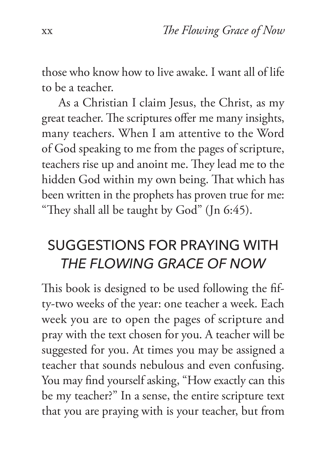those who know how to live awake. I want all of life to be a teacher.

As a Christian I claim Jesus, the Christ, as my great teacher. The scriptures offer me many insights, many teachers. When I am attentive to the Word of God speaking to me from the pages of scripture, teachers rise up and anoint me. They lead me to the hidden God within my own being. That which has been written in the prophets has proven true for me: "They shall all be taught by God" (Jn 6:45).

## SUGGESTIONS FOR PRAYING WITH *THE FLOWING GRACE OF NOW*

This book is designed to be used following the fifty-two weeks of the year: one teacher a week. Each week you are to open the pages of scripture and pray with the text chosen for you. A teacher will be suggested for you. At times you may be assigned a teacher that sounds nebulous and even confusing. You may find yourself asking, "How exactly can this be my teacher?" In a sense, the entire scripture text that you are praying with is your teacher, but from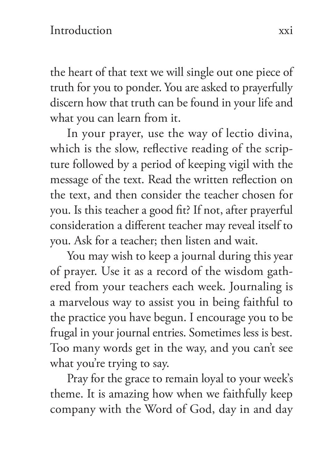the heart of that text we will single out one piece of truth for you to ponder. You are asked to prayerfully discern how that truth can be found in your life and what you can learn from it.

In your prayer, use the way of lectio divina, which is the slow, reflective reading of the scripture followed by a period of keeping vigil with the message of the text. Read the written reflection on the text, and then consider the teacher chosen for you. Is this teacher a good fit? If not, after prayerful consideration a different teacher may reveal itself to you. Ask for a teacher; then listen and wait.

You may wish to keep a journal during this year of prayer. Use it as a record of the wisdom gathered from your teachers each week. Journaling is a marvelous way to assist you in being faithful to the practice you have begun. I encourage you to be frugal in your journal entries. Sometimes less is best. Too many words get in the way, and you can't see what you're trying to say.

Pray for the grace to remain loyal to your week's theme. It is amazing how when we faithfully keep company with the Word of God, day in and day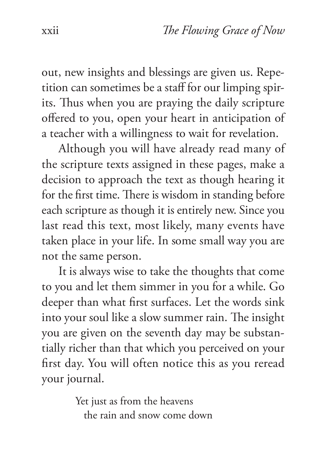out, new insights and blessings are given us. Repetition can sometimes be a staff for our limping spirits. Thus when you are praying the daily scripture offered to you, open your heart in anticipation of a teacher with a willingness to wait for revelation.

Although you will have already read many of the scripture texts assigned in these pages, make a decision to approach the text as though hearing it for the first time. There is wisdom in standing before each scripture as though it is entirely new. Since you last read this text, most likely, many events have taken place in your life. In some small way you are not the same person.

It is always wise to take the thoughts that come to you and let them simmer in you for a while. Go deeper than what first surfaces. Let the words sink into your soul like a slow summer rain. The insight you are given on the seventh day may be substantially richer than that which you perceived on your first day. You will often notice this as you reread your journal.

> Yet just as from the heavens the rain and snow come down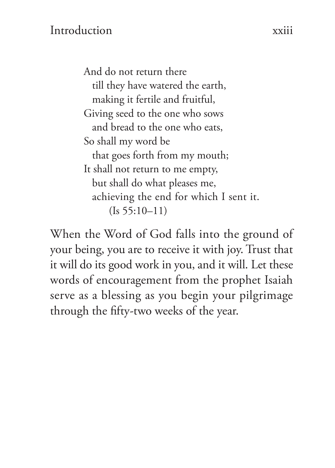And do not return there till they have watered the earth, making it fertile and fruitful, Giving seed to the one who sows and bread to the one who eats, So shall my word be that goes forth from my mouth; It shall not return to me empty, but shall do what pleases me, achieving the end for which I sent it.  $(Is 55:10-11)$ 

When the Word of God falls into the ground of your being, you are to receive it with joy. Trust that it will do its good work in you, and it will. Let these words of encouragement from the prophet Isaiah serve as a blessing as you begin your pilgrimage through the fifty-two weeks of the year.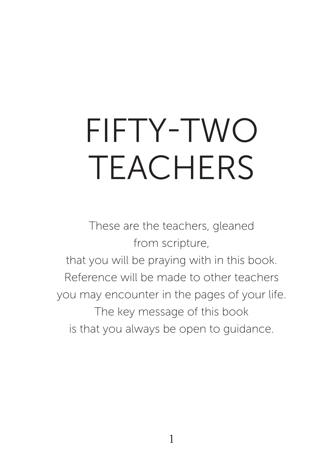## FIFTY-TWO TEACHERS

These are the teachers, gleaned from scripture, that you will be praying with in this book. Reference will be made to other teachers you may encounter in the pages of your life. The key message of this book is that you always be open to guidance.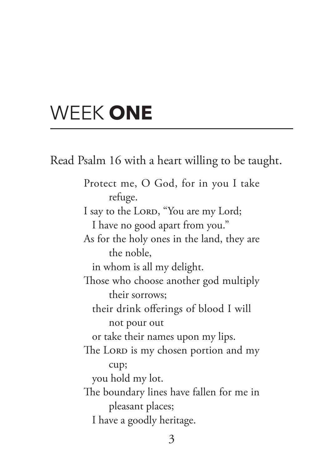## WEEK **ONE**

Read Psalm 16 with a heart willing to be taught. Protect me, O God, for in you I take refuge. I say to the LORD, "You are my Lord; I have no good apart from you." As for the holy ones in the land, they are the noble, in whom is all my delight. Those who choose another god multiply their sorrows; their drink offerings of blood I will not pour out or take their names upon my lips. The LORD is my chosen portion and my cup; you hold my lot. The boundary lines have fallen for me in pleasant places; I have a goodly heritage.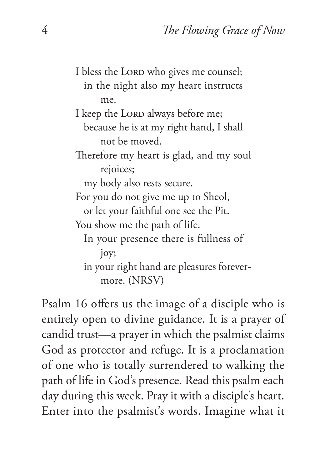I bless the LORD who gives me counsel; in the night also my heart instructs me. I keep the LORD always before me; because he is at my right hand, I shall not be moved. Therefore my heart is glad, and my soul rejoices; my body also rests secure. For you do not give me up to Sheol, or let your faithful one see the Pit. You show me the path of life. In your presence there is fullness of joy; in your right hand are pleasures forevermore. (NRSV)

Psalm 16 offers us the image of a disciple who is entirely open to divine guidance. It is a prayer of candid trust—a prayer in which the psalmist claims God as protector and refuge. It is a proclamation of one who is totally surrendered to walking the path of life in God's presence. Read this psalm each day during this week. Pray it with a disciple's heart. Enter into the psalmist's words. Imagine what it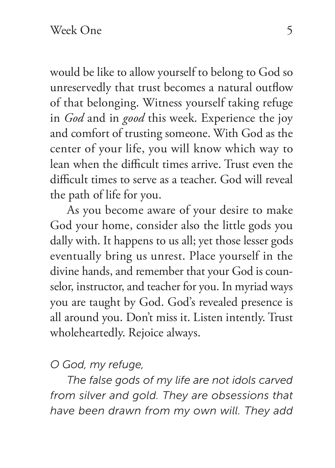would be like to allow yourself to belong to God so unreservedly that trust becomes a natural outflow of that belonging. Witness yourself taking refuge in *God* and in *good* this week. Experience the joy and comfort of trusting someone. With God as the center of your life, you will know which way to lean when the difficult times arrive. Trust even the difficult times to serve as a teacher. God will reveal the path of life for you.

As you become aware of your desire to make God your home, consider also the little gods you dally with. It happens to us all; yet those lesser gods eventually bring us unrest. Place yourself in the divine hands, and remember that your God is counselor, instructor, and teacher for you. In myriad ways you are taught by God. God's revealed presence is all around you. Don't miss it. Listen intently. Trust wholeheartedly. Rejoice always.

*O God, my refuge,*

*The false gods of my life are not idols carved from silver and gold. They are obsessions that have been drawn from my own will. They add*